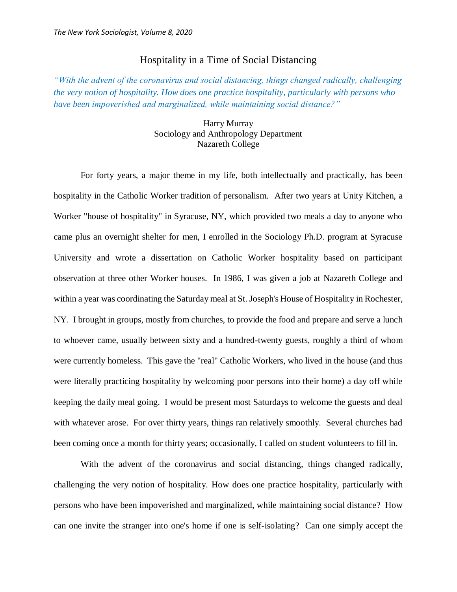## Hospitality in a Time of Social Distancing

*"With the advent of the coronavirus and social distancing, things changed radically, challenging the very notion of hospitality. How does one practice hospitality, particularly with persons who have been impoverished and marginalized, while maintaining social distance?"*

## Harry Murray Sociology and Anthropology Department Nazareth College

For forty years, a major theme in my life, both intellectually and practically, has been hospitality in the Catholic Worker tradition of personalism. After two years at Unity Kitchen, a Worker "house of hospitality" in Syracuse, NY, which provided two meals a day to anyone who came plus an overnight shelter for men, I enrolled in the Sociology Ph.D. program at Syracuse University and wrote a dissertation on Catholic Worker hospitality based on participant observation at three other Worker houses. In 1986, I was given a job at Nazareth College and within a year was coordinating the Saturday meal at St. Joseph's House of Hospitality in Rochester, NY. I brought in groups, mostly from churches, to provide the food and prepare and serve a lunch to whoever came, usually between sixty and a hundred-twenty guests, roughly a third of whom were currently homeless. This gave the "real" Catholic Workers, who lived in the house (and thus were literally practicing hospitality by welcoming poor persons into their home) a day off while keeping the daily meal going. I would be present most Saturdays to welcome the guests and deal with whatever arose. For over thirty years, things ran relatively smoothly. Several churches had been coming once a month for thirty years; occasionally, I called on student volunteers to fill in.

With the advent of the coronavirus and social distancing, things changed radically, challenging the very notion of hospitality. How does one practice hospitality, particularly with persons who have been impoverished and marginalized, while maintaining social distance? How can one invite the stranger into one's home if one is self-isolating? Can one simply accept the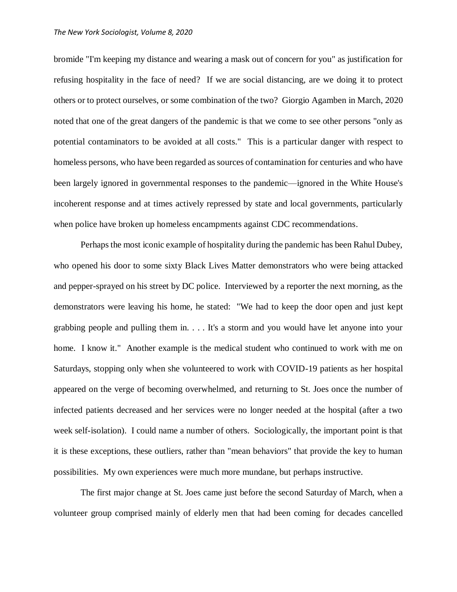## *The New York Sociologist, Volume 8, 2020*

bromide "I'm keeping my distance and wearing a mask out of concern for you" as justification for refusing hospitality in the face of need? If we are social distancing, are we doing it to protect others or to protect ourselves, or some combination of the two? Giorgio Agamben in March, 2020 noted that one of the great dangers of the pandemic is that we come to see other persons "only as potential contaminators to be avoided at all costs." This is a particular danger with respect to homeless persons, who have been regarded as sources of contamination for centuries and who have been largely ignored in governmental responses to the pandemic—ignored in the White House's incoherent response and at times actively repressed by state and local governments, particularly when police have broken up homeless encampments against CDC recommendations.

Perhaps the most iconic example of hospitality during the pandemic has been Rahul Dubey, who opened his door to some sixty Black Lives Matter demonstrators who were being attacked and pepper-sprayed on his street by DC police. Interviewed by a reporter the next morning, as the demonstrators were leaving his home, he stated: "We had to keep the door open and just kept grabbing people and pulling them in. . . . It's a storm and you would have let anyone into your home. I know it." Another example is the medical student who continued to work with me on Saturdays, stopping only when she volunteered to work with COVID-19 patients as her hospital appeared on the verge of becoming overwhelmed, and returning to St. Joes once the number of infected patients decreased and her services were no longer needed at the hospital (after a two week self-isolation). I could name a number of others. Sociologically, the important point is that it is these exceptions, these outliers, rather than "mean behaviors" that provide the key to human possibilities. My own experiences were much more mundane, but perhaps instructive.

The first major change at St. Joes came just before the second Saturday of March, when a volunteer group comprised mainly of elderly men that had been coming for decades cancelled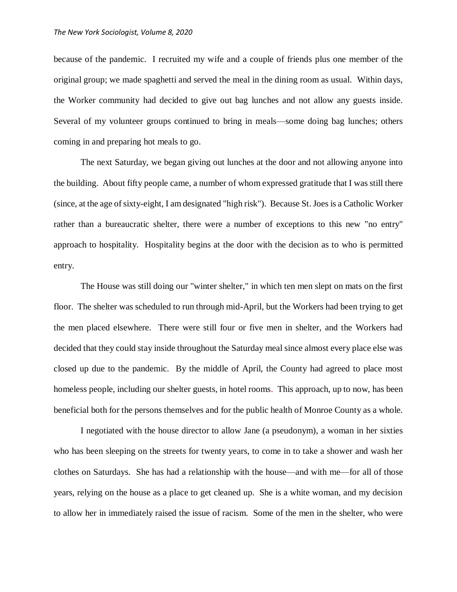because of the pandemic. I recruited my wife and a couple of friends plus one member of the original group; we made spaghetti and served the meal in the dining room as usual. Within days, the Worker community had decided to give out bag lunches and not allow any guests inside. Several of my volunteer groups continued to bring in meals—some doing bag lunches; others coming in and preparing hot meals to go.

The next Saturday, we began giving out lunches at the door and not allowing anyone into the building. About fifty people came, a number of whom expressed gratitude that I was still there (since, at the age of sixty-eight, I am designated "high risk"). Because St. Joes is a Catholic Worker rather than a bureaucratic shelter, there were a number of exceptions to this new "no entry" approach to hospitality. Hospitality begins at the door with the decision as to who is permitted entry.

The House was still doing our "winter shelter," in which ten men slept on mats on the first floor. The shelter was scheduled to run through mid-April, but the Workers had been trying to get the men placed elsewhere. There were still four or five men in shelter, and the Workers had decided that they could stay inside throughout the Saturday meal since almost every place else was closed up due to the pandemic. By the middle of April, the County had agreed to place most homeless people, including our shelter guests, in hotel rooms. This approach, up to now, has been beneficial both for the persons themselves and for the public health of Monroe County as a whole.

I negotiated with the house director to allow Jane (a pseudonym), a woman in her sixties who has been sleeping on the streets for twenty years, to come in to take a shower and wash her clothes on Saturdays. She has had a relationship with the house—and with me—for all of those years, relying on the house as a place to get cleaned up. She is a white woman, and my decision to allow her in immediately raised the issue of racism. Some of the men in the shelter, who were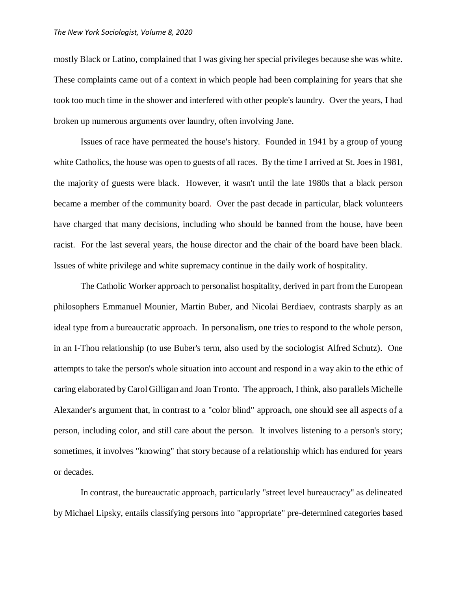mostly Black or Latino, complained that I was giving her special privileges because she was white. These complaints came out of a context in which people had been complaining for years that she took too much time in the shower and interfered with other people's laundry. Over the years, I had broken up numerous arguments over laundry, often involving Jane.

Issues of race have permeated the house's history. Founded in 1941 by a group of young white Catholics, the house was open to guests of all races. By the time I arrived at St. Joes in 1981, the majority of guests were black. However, it wasn't until the late 1980s that a black person became a member of the community board. Over the past decade in particular, black volunteers have charged that many decisions, including who should be banned from the house, have been racist. For the last several years, the house director and the chair of the board have been black. Issues of white privilege and white supremacy continue in the daily work of hospitality.

The Catholic Worker approach to personalist hospitality, derived in part from the European philosophers Emmanuel Mounier, Martin Buber, and Nicolai Berdiaev, contrasts sharply as an ideal type from a bureaucratic approach. In personalism, one tries to respond to the whole person, in an I-Thou relationship (to use Buber's term, also used by the sociologist Alfred Schutz). One attempts to take the person's whole situation into account and respond in a way akin to the ethic of caring elaborated by Carol Gilligan and Joan Tronto. The approach, I think, also parallels Michelle Alexander's argument that, in contrast to a "color blind" approach, one should see all aspects of a person, including color, and still care about the person. It involves listening to a person's story; sometimes, it involves "knowing" that story because of a relationship which has endured for years or decades.

In contrast, the bureaucratic approach, particularly "street level bureaucracy" as delineated by Michael Lipsky, entails classifying persons into "appropriate" pre-determined categories based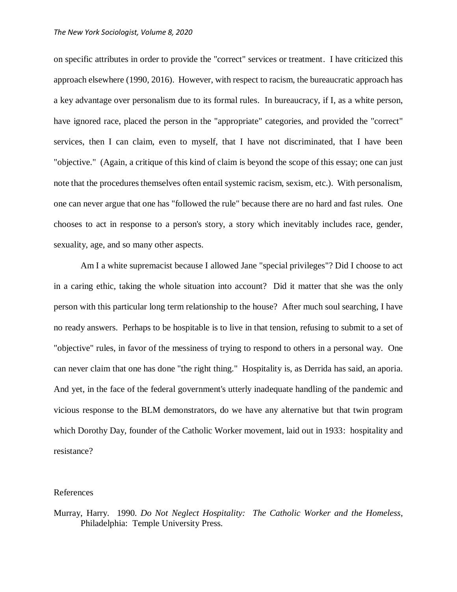on specific attributes in order to provide the "correct" services or treatment. I have criticized this approach elsewhere (1990, 2016). However, with respect to racism, the bureaucratic approach has a key advantage over personalism due to its formal rules. In bureaucracy, if I, as a white person, have ignored race, placed the person in the "appropriate" categories, and provided the "correct" services, then I can claim, even to myself, that I have not discriminated, that I have been "objective." (Again, a critique of this kind of claim is beyond the scope of this essay; one can just note that the procedures themselves often entail systemic racism, sexism, etc.). With personalism, one can never argue that one has "followed the rule" because there are no hard and fast rules. One chooses to act in response to a person's story, a story which inevitably includes race, gender, sexuality, age, and so many other aspects.

Am I a white supremacist because I allowed Jane "special privileges"? Did I choose to act in a caring ethic, taking the whole situation into account? Did it matter that she was the only person with this particular long term relationship to the house? After much soul searching, I have no ready answers. Perhaps to be hospitable is to live in that tension, refusing to submit to a set of "objective" rules, in favor of the messiness of trying to respond to others in a personal way. One can never claim that one has done "the right thing." Hospitality is, as Derrida has said, an aporia. And yet, in the face of the federal government's utterly inadequate handling of the pandemic and vicious response to the BLM demonstrators, do we have any alternative but that twin program which Dorothy Day, founder of the Catholic Worker movement, laid out in 1933: hospitality and resistance?

## References

Murray, Harry. 1990. *Do Not Neglect Hospitality: The Catholic Worker and the Homeless*, Philadelphia: Temple University Press.